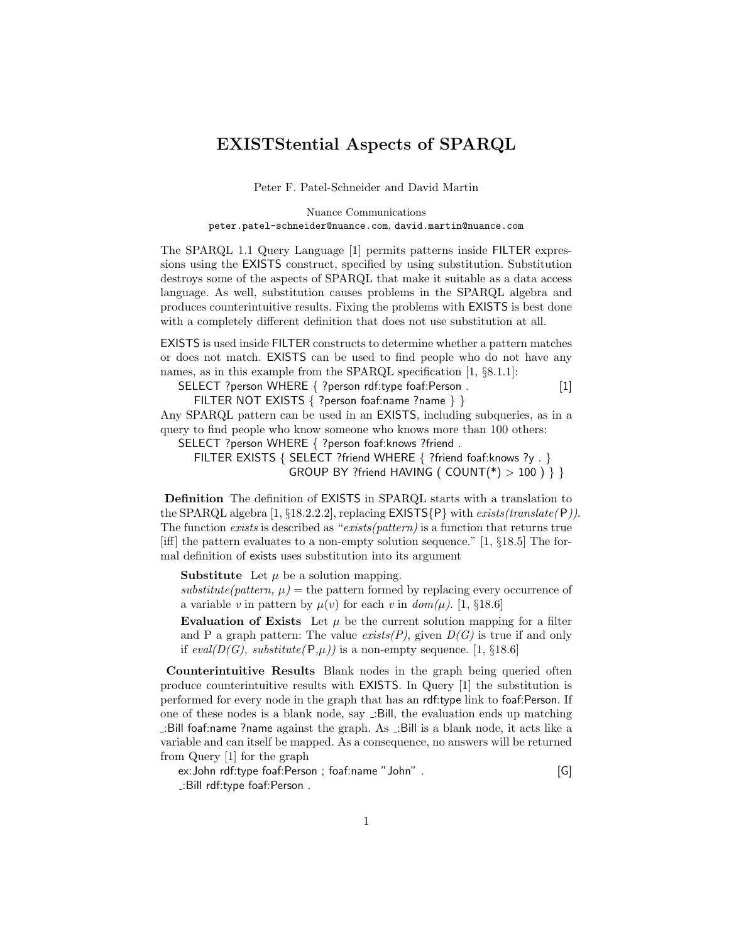## EXISTStential Aspects of SPARQL

Peter F. Patel-Schneider and David Martin

Nuance Communications peter.patel-schneider@nuance.com, david.martin@nuance.com

The SPARQL 1.1 Query Language [1] permits patterns inside FILTER expressions using the EXISTS construct, specified by using substitution. Substitution destroys some of the aspects of SPARQL that make it suitable as a data access language. As well, substitution causes problems in the SPARQL algebra and produces counterintuitive results. Fixing the problems with EXISTS is best done with a completely different definition that does not use substitution at all.

EXISTS is used inside FILTER constructs to determine whether a pattern matches or does not match. EXISTS can be used to find people who do not have any names, as in this example from the SPARQL specification [1, §8.1.1]:

SELECT ?person WHERE { ?person rdf:type foaf:Person . [1]

FILTER NOT EXISTS { ?person foaf:name ?name } } Any SPARQL pattern can be used in an EXISTS, including subqueries, as in a

query to find people who know someone who knows more than 100 others:

SELECT ?person WHERE { ?person foaf:knows ?friend .

FILTER EXISTS { SELECT ?friend WHERE { ?friend foaf:knows ?y . } GROUP BY ?friend HAVING (  $COUNT(*) > 100$  ) } }

Definition The definition of EXISTS in SPARQL starts with a translation to the SPARQL algebra [1,  $\S 18.2.2.2$ ], replacing  $EXISTS\{P\}$  with *exists(translate(P))*. The function exists is described as "exists(pattern) is a function that returns true [iff] the pattern evaluates to a non-empty solution sequence." [1, §18.5] The formal definition of exists uses substitution into its argument

**Substitute** Let  $\mu$  be a solution mapping.

substitute(pattern,  $\mu$ ) = the pattern formed by replacing every occurrence of a variable v in pattern by  $\mu(v)$  for each v in  $dom(\mu)$ . [1, §18.6]

Evaluation of Exists Let  $\mu$  be the current solution mapping for a filter and P a graph pattern: The value  $exists(P)$ , given  $D(G)$  is true if and only if eval( $D(G)$ , substitute( $P,\mu$ )) is a non-empty sequence. [1, §18.6]

Counterintuitive Results Blank nodes in the graph being queried often produce counterintuitive results with EXISTS. In Query [1] the substitution is performed for every node in the graph that has an rdf:type link to foaf:Person. If one of these nodes is a blank node, say :Bill, the evaluation ends up matching :Bill foaf:name ?name against the graph. As  $\Box$ Bill is a blank node, it acts like a variable and can itself be mapped. As a consequence, no answers will be returned from Query [1] for the graph

ex:John rdf:type foaf:Person ; foaf:name "John" . [G] :Bill rdf:type foaf:Person .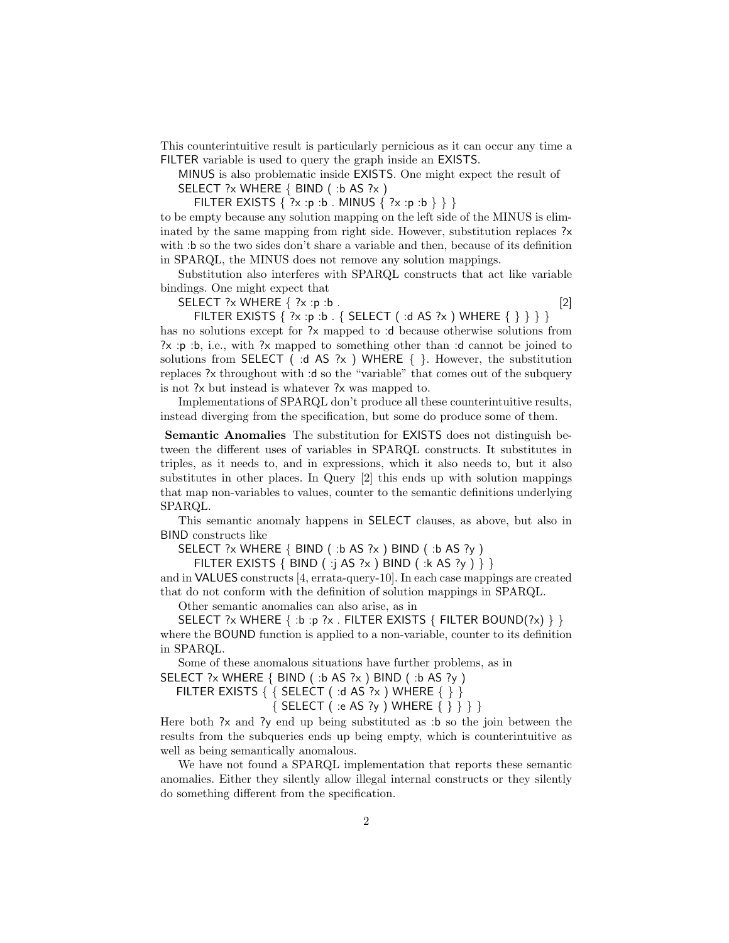This counterintuitive result is particularly pernicious as it can occur any time a FILTER variable is used to query the graph inside an EXISTS.

MINUS is also problematic inside EXISTS. One might expect the result of SELECT ?x WHERE { BIND ( :b AS ?x )

FILTER EXISTS  $\{ ?x : p : b$ . MINUS  $\{ ?x : p : b \} \}$ 

to be empty because any solution mapping on the left side of the MINUS is eliminated by the same mapping from right side. However, substitution replaces ?x with :b so the two sides don't share a variable and then, because of its definition in SPARQL, the MINUS does not remove any solution mappings.

Substitution also interferes with SPARQL constructs that act like variable bindings. One might expect that

SELECT  $?x$  WHERE  $\{ ?x : p : b \}.$  [2]

FILTER EXISTS  $\{ ?x : p : b . \}$  SELECT ( $: d$  AS  $?x$ ) WHERE  $\{ \} \}$ has no solutions except for ?x mapped to :d because otherwise solutions from ?x :p :b, i.e., with ?x mapped to something other than :d cannot be joined to solutions from SELECT ( :d AS ?x ) WHERE { }. However, the substitution replaces ?x throughout with :d so the "variable" that comes out of the subquery is not ?x but instead is whatever ?x was mapped to.

Implementations of SPARQL don't produce all these counterintuitive results, instead diverging from the specification, but some do produce some of them.

Semantic Anomalies The substitution for EXISTS does not distinguish between the different uses of variables in SPARQL constructs. It substitutes in triples, as it needs to, and in expressions, which it also needs to, but it also substitutes in other places. In Query [2] this ends up with solution mappings that map non-variables to values, counter to the semantic definitions underlying SPARQL.

This semantic anomaly happens in SELECT clauses, as above, but also in BIND constructs like

SELECT ?x WHERE { BIND ( :b AS ?x ) BIND ( :b AS ?y )

FILTER EXISTS { BIND ( :j AS ?x ) BIND ( :k AS ?y ) } }

and in VALUES constructs [4, errata-query-10]. In each case mappings are created that do not conform with the definition of solution mappings in SPARQL.

Other semantic anomalies can also arise, as in

SELECT ?x WHERE  $\{ \cdot \mathbf{b} : \mathbf{p} : \mathbf{x} \in \mathbb{R} \mid \mathbf{H} \in \mathbb{R} \}$  FILTER BOUND(?x)  $\}$ where the BOUND function is applied to a non-variable, counter to its definition in SPARQL.

Some of these anomalous situations have further problems, as in

SELECT ?x WHERE  $\{$  BIND  $($  :b AS ?x  $)$  BIND  $($  :b AS ?y  $)$ 

FILTER EXISTS  $\{ \}$  SELECT ( :d AS ?x ) WHERE  $\{ \}$ { SELECT ( :e AS ?y ) WHERE { } } } }

Here both  $\alpha$  and  $\gamma$  end up being substituted as :b so the join between the results from the subqueries ends up being empty, which is counterintuitive as well as being semantically anomalous.

We have not found a SPARQL implementation that reports these semantic anomalies. Either they silently allow illegal internal constructs or they silently do something different from the specification.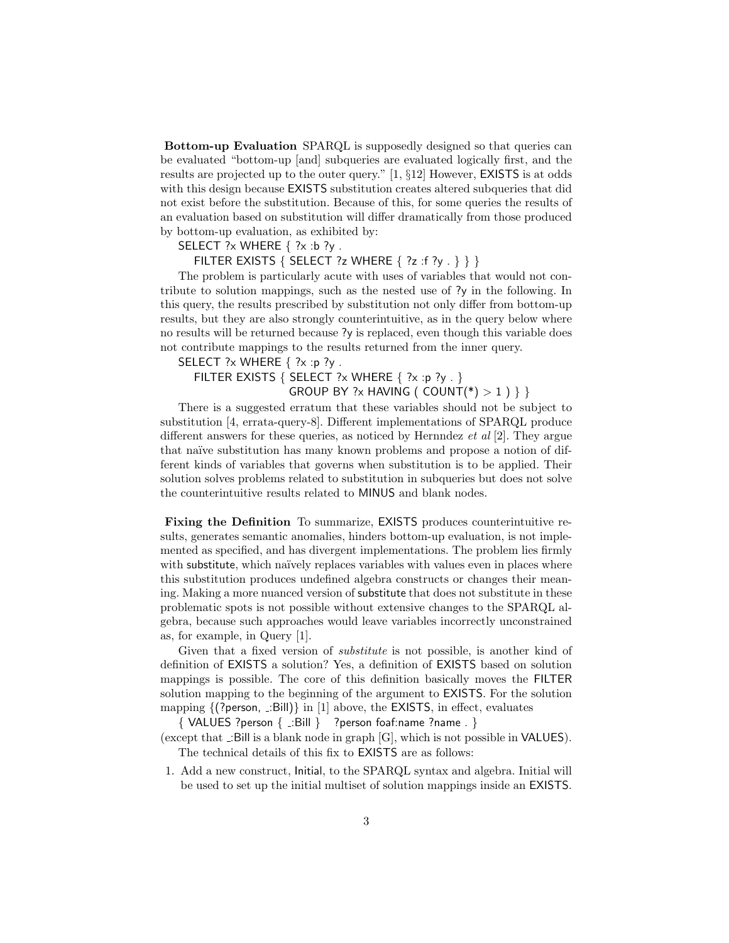Bottom-up Evaluation SPARQL is supposedly designed so that queries can be evaluated "bottom-up [and] subqueries are evaluated logically first, and the results are projected up to the outer query." [1, §12] However, EXISTS is at odds with this design because EXISTS substitution creates altered subqueries that did not exist before the substitution. Because of this, for some queries the results of an evaluation based on substitution will differ dramatically from those produced by bottom-up evaluation, as exhibited by:

## SELECT  $?x$  WHERE  $\{?x : b?\}y$ .

FILTER EXISTS { SELECT ?z WHERE { ?z :f ?y . } } }

The problem is particularly acute with uses of variables that would not contribute to solution mappings, such as the nested use of ?y in the following. In this query, the results prescribed by substitution not only differ from bottom-up results, but they are also strongly counterintuitive, as in the query below where no results will be returned because ?y is replaced, even though this variable does not contribute mappings to the results returned from the inner query.

SELECT  $?x$  WHERE  $\{?x : p?y$ .

FILTER EXISTS { SELECT ?x WHERE { ?x :p ?y . } GROUP BY ?x HAVING (  $COUNT(*) > 1$  ) } }

There is a suggested erratum that these variables should not be subject to substitution [4, errata-query-8]. Different implementations of SPARQL produce different answers for these queries, as noticed by Hernndez *et al* [2]. They argue that naïve substitution has many known problems and propose a notion of different kinds of variables that governs when substitution is to be applied. Their solution solves problems related to substitution in subqueries but does not solve the counterintuitive results related to MINUS and blank nodes.

Fixing the Definition To summarize, EXISTS produces counterintuitive results, generates semantic anomalies, hinders bottom-up evaluation, is not implemented as specified, and has divergent implementations. The problem lies firmly with substitute, which naïvely replaces variables with values even in places where this substitution produces undefined algebra constructs or changes their meaning. Making a more nuanced version of substitute that does not substitute in these problematic spots is not possible without extensive changes to the SPARQL algebra, because such approaches would leave variables incorrectly unconstrained as, for example, in Query [1].

Given that a fixed version of substitute is not possible, is another kind of definition of EXISTS a solution? Yes, a definition of EXISTS based on solution mappings is possible. The core of this definition basically moves the FILTER solution mapping to the beginning of the argument to EXISTS. For the solution mapping  $\{$  (?person,  $\therefore$ Bill)} in [1] above, the **EXISTS**, in effect, evaluates

 $\{$  VALUES ?person  $\{$  .:Bill  $\}$  ?person foaf:name ?name .  $\}$ 

(except that  $\Box$ Bill is a blank node in graph  $[G]$ , which is not possible in **VALUES**). The technical details of this fix to EXISTS are as follows:

1. Add a new construct, Initial, to the SPARQL syntax and algebra. Initial will be used to set up the initial multiset of solution mappings inside an EXISTS.